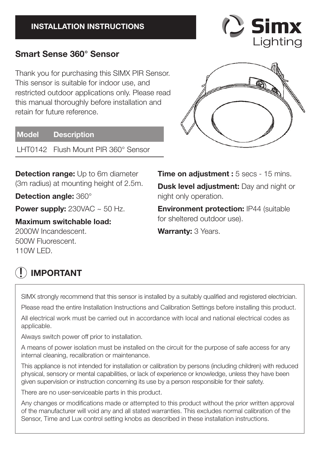#### **INSTALLATION INSTRUCTIONS**

## **Smart Sense 360° Sensor**

Thank you for purchasing this SIMX PIR Sensor. This sensor is suitable for indoor use, and restricted outdoor applications only. Please read this manual thoroughly before installation and retain for future reference.

#### **Model Description**

LHT0142 Flush Mount PIR 360° Sensor

**Detection range:** Up to 6m diameter (3m radius) at mounting height of 2.5m.

**Detection angle:** 360°

**Power supply:** 230VAC ~ 50 Hz.

**Maximum switchable load:**  2000W Incandescent. 500W Fluorescent.

110W LED.

**Time on adjustment :**  $5$  secs - 15 mins. **Dusk level adjustment:** Day and night or night only operation.

**Environment protection: IP44 (suitable)** for sheltered outdoor use).

**Warranty:** 3 Years.

# **! IMPORTANT**

SIMX strongly recommend that this sensor is installed by a suitably qualified and registered electrician. Please read the entire Installation Instructions and Calibration Settings before installing this product.

All electrical work must be carried out in accordance with local and national electrical codes as applicable.

Always switch power off prior to installation.

A means of power isolation must be installed on the circuit for the purpose of safe access for any internal cleaning, recalibration or maintenance.

This appliance is not intended for installation or calibration by persons (including children) with reduced physical, sensory or mental capabilities, or lack of experience or knowledge, unless they have been given supervision or instruction concerning its use by a person responsible for their safety.

There are no user-serviceable parts in this product.

Any changes or modifications made or attempted to this product without the prior written approval of the manufacturer will void any and all stated warranties. This excludes normal calibration of the Sensor, Time and Lux control setting knobs as described in these installation instructions.



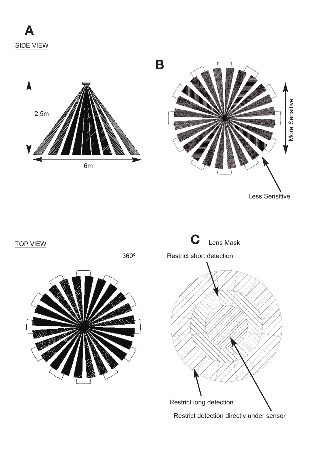

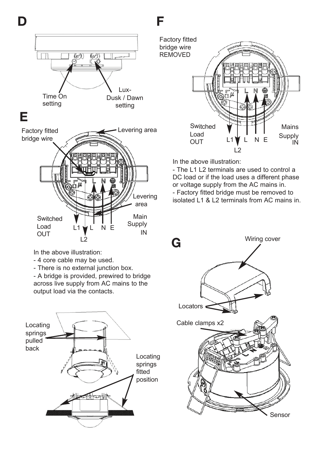

L2<br>In the above illustration:

Load OUT

- 4 core cable may be used.
- There is no external junction box.

- A bridge is provided, prewired to bridge across live supply from AC mains to the output load via the contacts.





In the above illustration:

- The L1 L2 terminals are used to control a DC load or if the load uses a different phase or voltage supply from the AC mains in. - Factory fitted bridge must be removed to isolated L1 & L2 terminals from AC mains in.



IN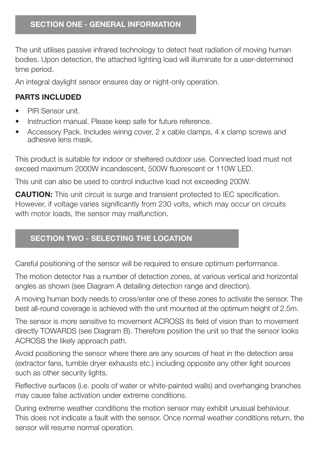The unit utilises passive infrared technology to detect heat radiation of moving human bodies. Upon detection, the attached lighting load will illuminate for a user-determined time period.

An integral daylight sensor ensures day or night-only operation.

#### **PARTS INCLUDED**

- PIR Sensor unit.
- Instruction manual. Please keep safe for future reference.
- Accessory Pack. Includes wiring cover, 2 x cable clamps, 4 x clamp screws and adhesive lens mask.

This product is suitable for indoor or sheltered outdoor use. Connected load must not exceed maximum 2000W incandescent, 500W fluorescent or 110W LED.

This unit can also be used to control inductive load not exceeding 200W.

**CAUTION:** This unit circuit is surge and transient protected to IEC specification. However, if voltage varies significantly from 230 volts, which may occur on circuits with motor loads, the sensor may malfunction.

# **SECTION TWO - SELECTING THE LOCATION**

Careful positioning of the sensor will be required to ensure optimum performance.

The motion detector has a number of detection zones, at various vertical and horizontal angles as shown (see Diagram A detailing detection range and direction).

A moving human body needs to cross/enter one of these zones to activate the sensor. The best all-round coverage is achieved with the unit mounted at the optimum height of 2.5m.

The sensor is more sensitive to movement ACROSS its field of vision than to movement directly TOWARDS (see Diagram B). Therefore position the unit so that the sensor looks ACROSS the likely approach path.

Avoid positioning the sensor where there are any sources of heat in the detection area (extractor fans, tumble dryer exhausts etc.) including opposite any other light sources such as other security lights.

Reflective surfaces (i.e. pools of water or white-painted walls) and overhanging branches may cause false activation under extreme conditions.

During extreme weather conditions the motion sensor may exhibit unusual behaviour. This does not indicate a fault with the sensor. Once normal weather conditions return, the sensor will resume normal operation.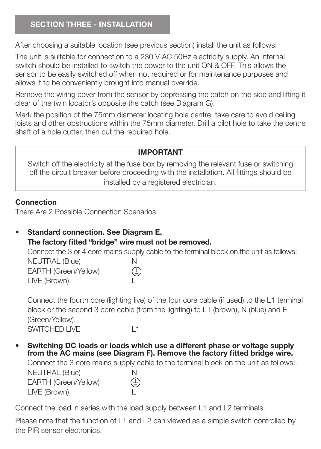After choosing a suitable location (see previous section) install the unit as follows:

The unit is suitable for connection to a 230 V AC 50Hz electricity supply. An internal switch should be installed to switch the power to the unit ON & OFF. This allows the sensor to be easily switched off when not required or for maintenance purposes and allows it to be conveniently brought into manual override.

Remove the wiring cover from the sensor by depressing the catch on the side and lifting it clear of the twin locator's opposite the catch (see Diagram G).

Mark the position of the 75mm diameter locating hole centre, take care to avoid ceiling joists and other obstructions within the 75mm diameter. Drill a pilot hole to take the centre shaft of a hole cutter, then cut the required hole.

#### **IMPORTANT**

Switch off the electricity at the fuse box by removing the relevant fuse or switching off the circuit breaker before proceeding with the installation. All fittings should be installed by a registered electrician.

#### **Connection**

There Are 2 Possible Connection Scenarios:

• **Standard connection. See Diagram E.** The factory fitted "bridge" wire must not be removed.

Connect the 3 or 4 core mains supply cable to the terminal block on the unit as follows:-

NEUTRAL (Blue) N<br>EARTH (Green/Yellow) ( $\widehat{\perp}$ EARTH (Green/Yellow) LIVE (Brown)

Connect the fourth core (lighting live) of the four core cable (if used) to the L1 terminal block or the second 3 core cable (from the lighting) to L1 (brown), N (blue) and E (Green/Yellow). SWITCHED LIVE L1

• **Switching DC loads or loads which use a different phase or voltage supply**  from the AC mains (see Diagram F). Remove the factory fitted bridge wire.

Connect the 3 core mains supply cable to the terminal block on the unit as follows:- NEUTRAL (Blue) N  $\bigoplus$ EARTH (Green/Yellow) LIVE (Brown)

Connect the load in series with the load supply between L1 and L2 terminals.

Please note that the function of L1 and L2 can viewed as a simple switch controlled by the PIR sensor electronics.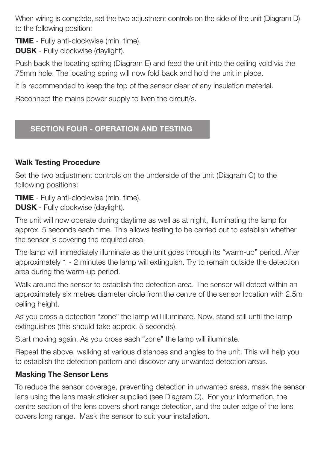When wiring is complete, set the two adjustment controls on the side of the unit (Diagram D) to the following position:

**TIME** - Fully anti-clockwise (min. time). **DUSK** - Fully clockwise (daylight).

Push back the locating spring (Diagram E) and feed the unit into the ceiling void via the 75mm hole. The locating spring will now fold back and hold the unit in place.

It is recommended to keep the top of the sensor clear of any insulation material.

Reconnect the mains power supply to liven the circuit/s.

# **SECTION FOUR - OPERATION AND TESTING**

### **Walk Testing Procedure**

Set the two adjustment controls on the underside of the unit (Diagram C) to the following positions:

**TIME** - Fully anti-clockwise (min. time).

**DUSK** - Fully clockwise (daylight).

The unit will now operate during daytime as well as at night, illuminating the lamp for approx. 5 seconds each time. This allows testing to be carried out to establish whether the sensor is covering the required area.

The lamp will immediately illuminate as the unit goes through its "warm-up" period. After approximately 1 - 2 minutes the lamp will extinguish. Try to remain outside the detection area during the warm-up period.

Walk around the sensor to establish the detection area. The sensor will detect within an approximately six metres diameter circle from the centre of the sensor location with 2.5m ceiling height.

As you cross a detection "zone" the lamp will illuminate. Now, stand still until the lamp extinguishes (this should take approx. 5 seconds).

Start moving again. As you cross each "zone" the lamp will illuminate.

Repeat the above, walking at various distances and angles to the unit. This will help you to establish the detection pattern and discover any unwanted detection areas.

### **Masking The Sensor Lens**

To reduce the sensor coverage, preventing detection in unwanted areas, mask the sensor lens using the lens mask sticker supplied (see Diagram C). For your information, the centre section of the lens covers short range detection, and the outer edge of the lens covers long range. Mask the sensor to suit your installation.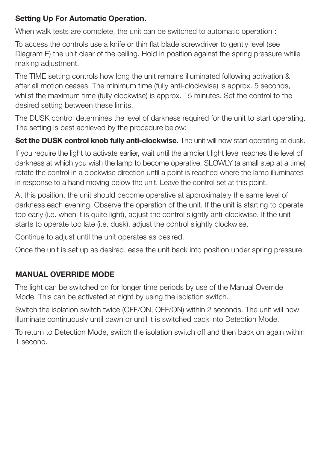#### **Setting Up For Automatic Operation.**

When walk tests are complete, the unit can be switched to automatic operation :

To access the controls use a knife or thin flat blade screwdriver to gently level (see Diagram E) the unit clear of the ceiling. Hold in position against the spring pressure while making adjustment.

The TIME setting controls how long the unit remains illuminated following activation & after all motion ceases. The minimum time (fully anti-clockwise) is approx. 5 seconds, whilst the maximum time (fully clockwise) is approx. 15 minutes. Set the control to the desired setting between these limits.

The DUSK control determines the level of darkness required for the unit to start operating. The setting is best achieved by the procedure below:

**Set the DUSK control knob fully anti-clockwise.** The unit will now start operating at dusk.

If you require the light to activate earlier, wait until the ambient light level reaches the level of darkness at which you wish the lamp to become operative, SLOWLY (a small step at a time) rotate the control in a clockwise direction until a point is reached where the lamp illuminates in response to a hand moving below the unit. Leave the control set at this point.

At this position, the unit should become operative at approximately the same level of darkness each evening. Observe the operation of the unit. If the unit is starting to operate too early (i.e. when it is quite light), adjust the control slightly anti-clockwise. If the unit starts to operate too late (i.e. dusk), adjust the control slightly clockwise.

Continue to adjust until the unit operates as desired.

Once the unit is set up as desired, ease the unit back into position under spring pressure.

#### **MANUAL OVERRIDE MODE**

The light can be switched on for longer time periods by use of the Manual Override Mode. This can be activated at night by using the isolation switch.

Switch the isolation switch twice (OFF/ON, OFF/ON) within 2 seconds. The unit will now illuminate continuously until dawn or until it is switched back into Detection Mode.

To return to Detection Mode, switch the isolation switch off and then back on again within 1 second.